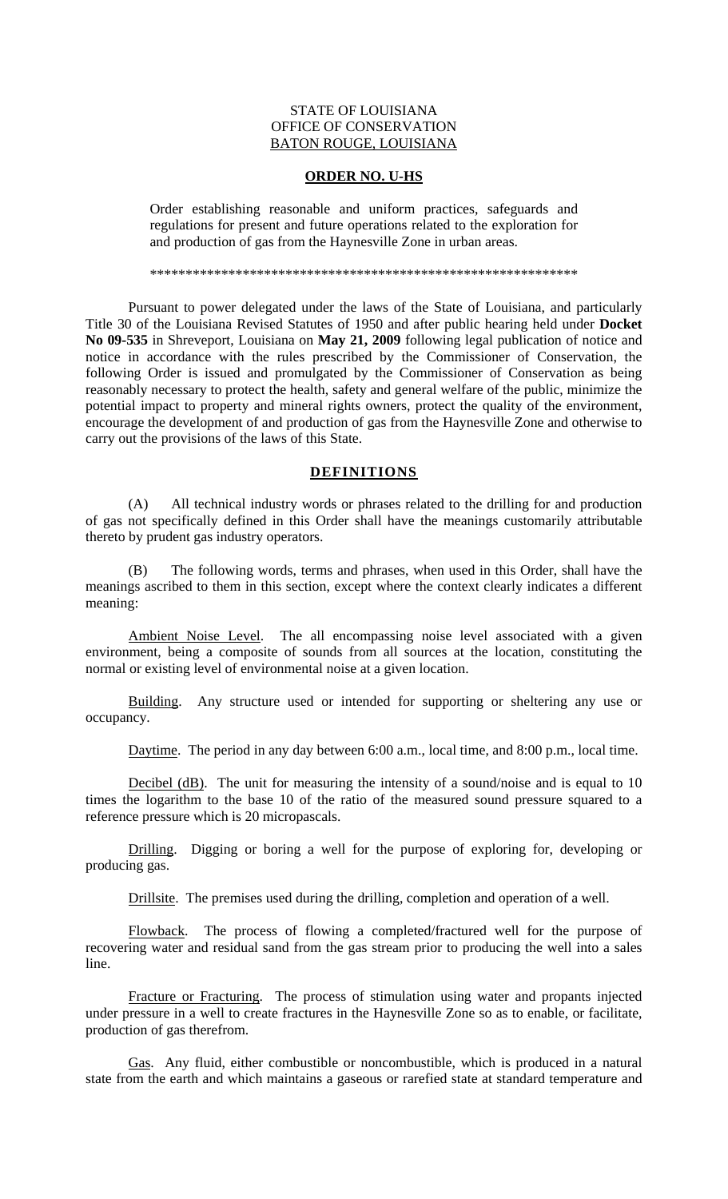## STATE OF LOUISIANA OFFICE OF CONSERVATION BATON ROUGE, LOUISIANA

## **ORDER NO. U-HS**

Order establishing reasonable and uniform practices, safeguards and regulations for present and future operations related to the exploration for and production of gas from the Haynesville Zone in urban areas.

\*\*\*\*\*\*\*\*\*\*\*\*\*\*\*\*\*\*\*\*\*\*\*\*\*\*\*\*\*\*\*\*\*\*\*\*\*\*\*\*\*\*\*\*\*\*\*\*\*\*\*\*\*\*\*\*\*\*\*\*

 Pursuant to power delegated under the laws of the State of Louisiana, and particularly Title 30 of the Louisiana Revised Statutes of 1950 and after public hearing held under **Docket No 09-535** in Shreveport, Louisiana on **May 21, 2009** following legal publication of notice and notice in accordance with the rules prescribed by the Commissioner of Conservation, the following Order is issued and promulgated by the Commissioner of Conservation as being reasonably necessary to protect the health, safety and general welfare of the public, minimize the potential impact to property and mineral rights owners, protect the quality of the environment, encourage the development of and production of gas from the Haynesville Zone and otherwise to carry out the provisions of the laws of this State.

## **DEFINITIONS**

 (A) All technical industry words or phrases related to the drilling for and production of gas not specifically defined in this Order shall have the meanings customarily attributable thereto by prudent gas industry operators.

 (B) The following words, terms and phrases, when used in this Order, shall have the meanings ascribed to them in this section, except where the context clearly indicates a different meaning:

 Ambient Noise Level. The all encompassing noise level associated with a given environment, being a composite of sounds from all sources at the location, constituting the normal or existing level of environmental noise at a given location.

 Building. Any structure used or intended for supporting or sheltering any use or occupancy.

Daytime. The period in any day between 6:00 a.m., local time, and 8:00 p.m., local time.

 Decibel (dB). The unit for measuring the intensity of a sound/noise and is equal to 10 times the logarithm to the base 10 of the ratio of the measured sound pressure squared to a reference pressure which is 20 micropascals.

 Drilling. Digging or boring a well for the purpose of exploring for, developing or producing gas.

Drillsite. The premises used during the drilling, completion and operation of a well.

 Flowback. The process of flowing a completed/fractured well for the purpose of recovering water and residual sand from the gas stream prior to producing the well into a sales line.

 Fracture or Fracturing. The process of stimulation using water and propants injected under pressure in a well to create fractures in the Haynesville Zone so as to enable, or facilitate, production of gas therefrom.

 Gas. Any fluid, either combustible or noncombustible, which is produced in a natural state from the earth and which maintains a gaseous or rarefied state at standard temperature and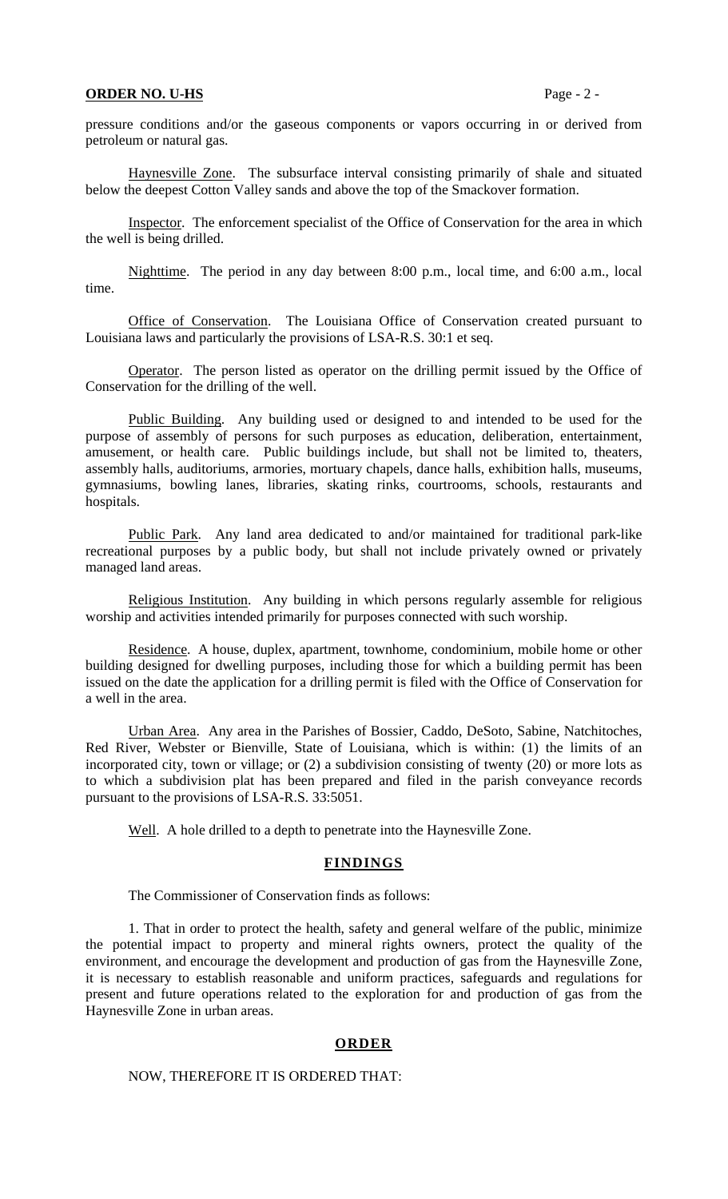#### **ORDER NO. U-HS** Page - 2 -

pressure conditions and/or the gaseous components or vapors occurring in or derived from petroleum or natural gas.

 Haynesville Zone. The subsurface interval consisting primarily of shale and situated below the deepest Cotton Valley sands and above the top of the Smackover formation.

 Inspector. The enforcement specialist of the Office of Conservation for the area in which the well is being drilled.

 Nighttime. The period in any day between 8:00 p.m., local time, and 6:00 a.m., local time.

 Office of Conservation. The Louisiana Office of Conservation created pursuant to Louisiana laws and particularly the provisions of LSA-R.S. 30:1 et seq.

 Operator. The person listed as operator on the drilling permit issued by the Office of Conservation for the drilling of the well.

 Public Building. Any building used or designed to and intended to be used for the purpose of assembly of persons for such purposes as education, deliberation, entertainment, amusement, or health care. Public buildings include, but shall not be limited to, theaters, assembly halls, auditoriums, armories, mortuary chapels, dance halls, exhibition halls, museums, gymnasiums, bowling lanes, libraries, skating rinks, courtrooms, schools, restaurants and hospitals.

 Public Park. Any land area dedicated to and/or maintained for traditional park-like recreational purposes by a public body, but shall not include privately owned or privately managed land areas.

 Religious Institution. Any building in which persons regularly assemble for religious worship and activities intended primarily for purposes connected with such worship.

 Residence. A house, duplex, apartment, townhome, condominium, mobile home or other building designed for dwelling purposes, including those for which a building permit has been issued on the date the application for a drilling permit is filed with the Office of Conservation for a well in the area.

 Urban Area. Any area in the Parishes of Bossier, Caddo, DeSoto, Sabine, Natchitoches, Red River, Webster or Bienville, State of Louisiana, which is within: (1) the limits of an incorporated city, town or village; or (2) a subdivision consisting of twenty (20) or more lots as to which a subdivision plat has been prepared and filed in the parish conveyance records pursuant to the provisions of LSA-R.S. 33:5051.

Well. A hole drilled to a depth to penetrate into the Haynesville Zone.

# **FINDINGS**

The Commissioner of Conservation finds as follows:

 1. That in order to protect the health, safety and general welfare of the public, minimize the potential impact to property and mineral rights owners, protect the quality of the environment, and encourage the development and production of gas from the Haynesville Zone, it is necessary to establish reasonable and uniform practices, safeguards and regulations for present and future operations related to the exploration for and production of gas from the Haynesville Zone in urban areas.

### **ORDER**

## NOW, THEREFORE IT IS ORDERED THAT: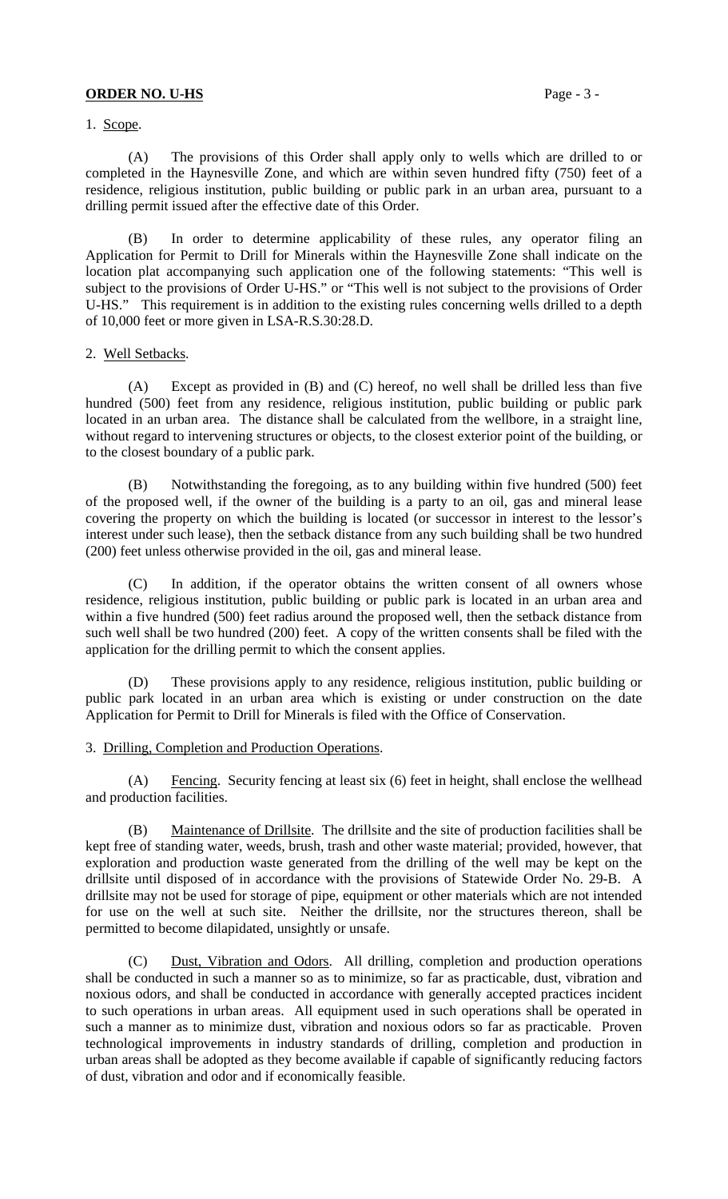## **ORDER NO. U-HS** Page - 3 -

1. Scope.

 (A) The provisions of this Order shall apply only to wells which are drilled to or completed in the Haynesville Zone, and which are within seven hundred fifty (750) feet of a residence, religious institution, public building or public park in an urban area, pursuant to a drilling permit issued after the effective date of this Order.

 (B) In order to determine applicability of these rules, any operator filing an Application for Permit to Drill for Minerals within the Haynesville Zone shall indicate on the location plat accompanying such application one of the following statements: "This well is subject to the provisions of Order U-HS." or "This well is not subject to the provisions of Order U-HS." This requirement is in addition to the existing rules concerning wells drilled to a depth of 10,000 feet or more given in LSA-R.S.30:28.D.

#### 2. Well Setbacks.

 (A) Except as provided in (B) and (C) hereof, no well shall be drilled less than five hundred (500) feet from any residence, religious institution, public building or public park located in an urban area. The distance shall be calculated from the wellbore, in a straight line, without regard to intervening structures or objects, to the closest exterior point of the building, or to the closest boundary of a public park.

 (B) Notwithstanding the foregoing, as to any building within five hundred (500) feet of the proposed well, if the owner of the building is a party to an oil, gas and mineral lease covering the property on which the building is located (or successor in interest to the lessor's interest under such lease), then the setback distance from any such building shall be two hundred (200) feet unless otherwise provided in the oil, gas and mineral lease.

 (C) In addition, if the operator obtains the written consent of all owners whose residence, religious institution, public building or public park is located in an urban area and within a five hundred (500) feet radius around the proposed well, then the setback distance from such well shall be two hundred (200) feet. A copy of the written consents shall be filed with the application for the drilling permit to which the consent applies.

 (D) These provisions apply to any residence, religious institution, public building or public park located in an urban area which is existing or under construction on the date Application for Permit to Drill for Minerals is filed with the Office of Conservation.

#### 3. Drilling, Completion and Production Operations.

 (A) Fencing. Security fencing at least six (6) feet in height, shall enclose the wellhead and production facilities.

 (B) Maintenance of Drillsite. The drillsite and the site of production facilities shall be kept free of standing water, weeds, brush, trash and other waste material; provided, however, that exploration and production waste generated from the drilling of the well may be kept on the drillsite until disposed of in accordance with the provisions of Statewide Order No. 29-B. A drillsite may not be used for storage of pipe, equipment or other materials which are not intended for use on the well at such site. Neither the drillsite, nor the structures thereon, shall be permitted to become dilapidated, unsightly or unsafe.

 (C) Dust, Vibration and Odors. All drilling, completion and production operations shall be conducted in such a manner so as to minimize, so far as practicable, dust, vibration and noxious odors, and shall be conducted in accordance with generally accepted practices incident to such operations in urban areas. All equipment used in such operations shall be operated in such a manner as to minimize dust, vibration and noxious odors so far as practicable. Proven technological improvements in industry standards of drilling, completion and production in urban areas shall be adopted as they become available if capable of significantly reducing factors of dust, vibration and odor and if economically feasible.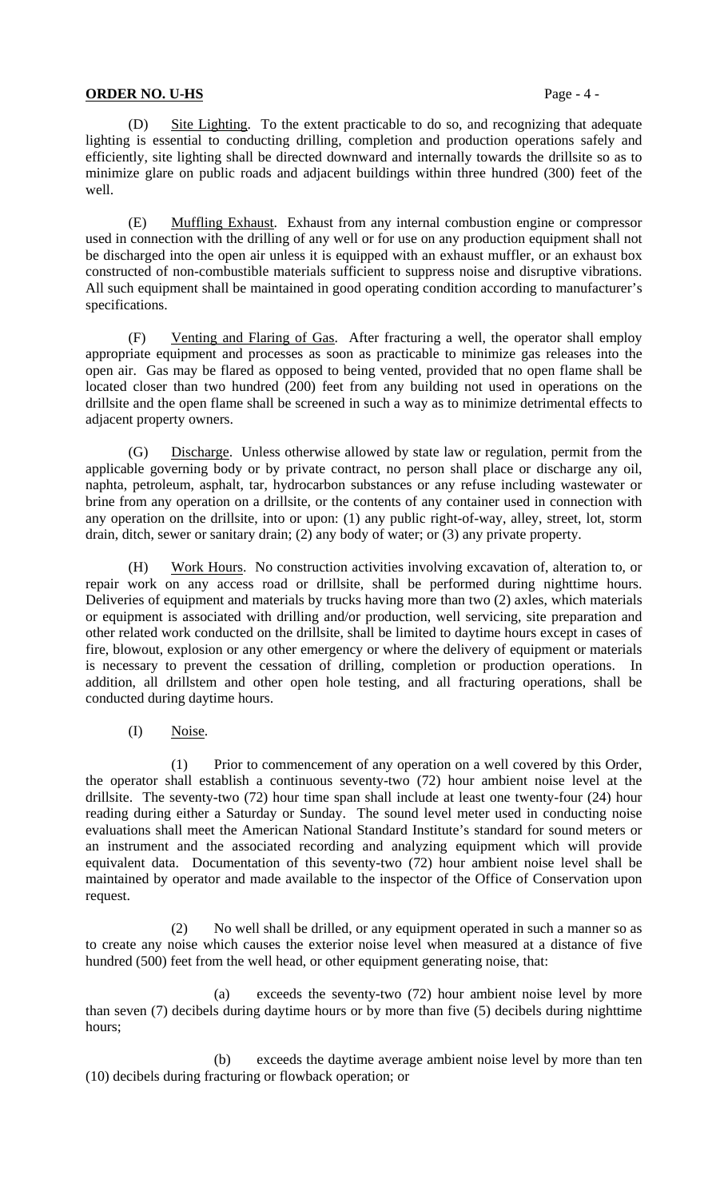## **ORDER NO. U-HS** Page - 4 -

 (D) Site Lighting. To the extent practicable to do so, and recognizing that adequate lighting is essential to conducting drilling, completion and production operations safely and efficiently, site lighting shall be directed downward and internally towards the drillsite so as to minimize glare on public roads and adjacent buildings within three hundred (300) feet of the well.

 (E) Muffling Exhaust. Exhaust from any internal combustion engine or compressor used in connection with the drilling of any well or for use on any production equipment shall not be discharged into the open air unless it is equipped with an exhaust muffler, or an exhaust box constructed of non-combustible materials sufficient to suppress noise and disruptive vibrations. All such equipment shall be maintained in good operating condition according to manufacturer's specifications.

 (F) Venting and Flaring of Gas. After fracturing a well, the operator shall employ appropriate equipment and processes as soon as practicable to minimize gas releases into the open air. Gas may be flared as opposed to being vented, provided that no open flame shall be located closer than two hundred (200) feet from any building not used in operations on the drillsite and the open flame shall be screened in such a way as to minimize detrimental effects to adjacent property owners.

 (G) Discharge. Unless otherwise allowed by state law or regulation, permit from the applicable governing body or by private contract, no person shall place or discharge any oil, naphta, petroleum, asphalt, tar, hydrocarbon substances or any refuse including wastewater or brine from any operation on a drillsite, or the contents of any container used in connection with any operation on the drillsite, into or upon: (1) any public right-of-way, alley, street, lot, storm drain, ditch, sewer or sanitary drain; (2) any body of water; or (3) any private property.

 (H) Work Hours. No construction activities involving excavation of, alteration to, or repair work on any access road or drillsite, shall be performed during nighttime hours. Deliveries of equipment and materials by trucks having more than two (2) axles, which materials or equipment is associated with drilling and/or production, well servicing, site preparation and other related work conducted on the drillsite, shall be limited to daytime hours except in cases of fire, blowout, explosion or any other emergency or where the delivery of equipment or materials is necessary to prevent the cessation of drilling, completion or production operations. In addition, all drillstem and other open hole testing, and all fracturing operations, shall be conducted during daytime hours.

(I) Noise.

 (1) Prior to commencement of any operation on a well covered by this Order, the operator shall establish a continuous seventy-two (72) hour ambient noise level at the drillsite. The seventy-two (72) hour time span shall include at least one twenty-four (24) hour reading during either a Saturday or Sunday. The sound level meter used in conducting noise evaluations shall meet the American National Standard Institute's standard for sound meters or an instrument and the associated recording and analyzing equipment which will provide equivalent data. Documentation of this seventy-two (72) hour ambient noise level shall be maintained by operator and made available to the inspector of the Office of Conservation upon request.

 (2) No well shall be drilled, or any equipment operated in such a manner so as to create any noise which causes the exterior noise level when measured at a distance of five hundred (500) feet from the well head, or other equipment generating noise, that:

 (a) exceeds the seventy-two (72) hour ambient noise level by more than seven (7) decibels during daytime hours or by more than five (5) decibels during nighttime hours;

 (b) exceeds the daytime average ambient noise level by more than ten (10) decibels during fracturing or flowback operation; or